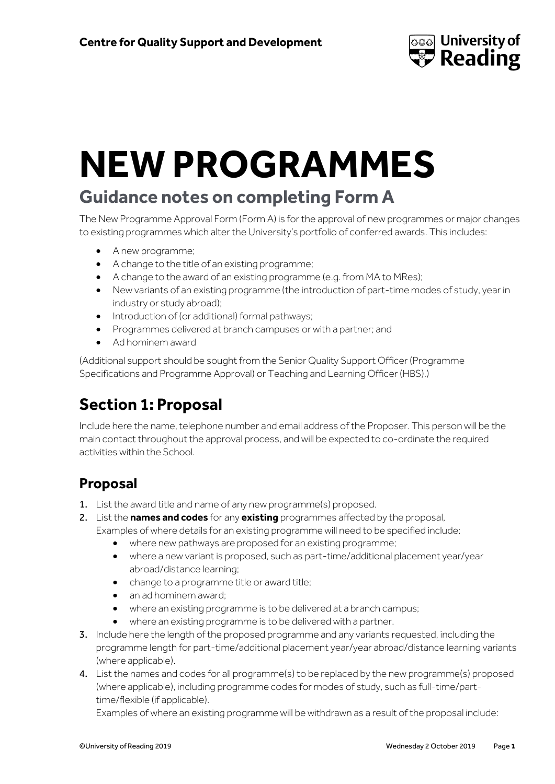

# **NEW PROGRAMMES**

# **Guidance notes on completing Form A**

The New Programme Approval Form (Form A) is for the approval of new programmes or major changes to existing programmes which alter the University's portfolio of conferred awards. This includes:

- A new programme;
- A change to the title of an existing programme;
- A change to the award of an existing programme (e.g. from MA to MRes);
- New variants of an existing programme (the introduction of part-time modes of study, year in industry or study abroad);
- Introduction of (or additional) formal pathways;
- Programmes delivered at branch campuses or with a partner; and
- Ad hominem award

(Additional support should be sought from the Senior Quality Support Officer (Programme Specifications and Programme Approval) or Teaching and Learning Officer (HBS).)

# **Section 1: Proposal**

Include here the name, telephone number and email address of the Proposer. This person will be the main contact throughout the approval process, and will be expected to co-ordinate the required activities within the School.

# **Proposal**

- 1. List the award title and name of any new programme(s) proposed.
- 2. List the **names and codes** for any **existing** programmes affected by the proposal, Examples of where details for an existing programme will need to be specified include:
	- where new pathways are proposed for an existing programme;
	- where a new variant is proposed, such as part-time/additional placement year/year abroad/distance learning;
	- change to a programme title or award title;
	- an ad hominem award;
	- where an existing programme is to be delivered at a branch campus;
	- where an existing programme is to be delivered with a partner.
- 3. Include here the length of the proposed programme and any variants requested, including the programme length for part-time/additional placement year/year abroad/distance learning variants (where applicable).
- 4. List the names and codes for all programme(s) to be replaced by the new programme(s) proposed (where applicable), including programme codes for modes of study, such as full-time/parttime/flexible (if applicable).

Examples of where an existing programme will be withdrawn as a result of the proposal include: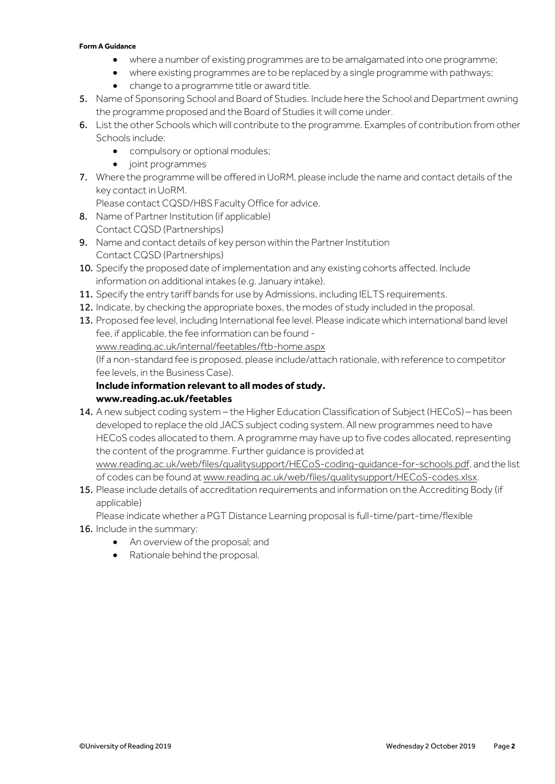#### **Form A Guidance**

- where a number of existing programmes are to be amalgamated into one programme;
- where existing programmes are to be replaced by a single programme with pathways;
- change to a programme title or award title.
- 5. Name of Sponsoring School and Board of Studies. Include here the School and Department owning the programme proposed and the Board of Studies it will come under.
- 6. List the other Schools which will contribute to the programme. Examples of contribution from other Schools include:
	- compulsory or optional modules;
	- joint programmes
- 7. Where the programme will be offered in UoRM, please include the name and contact details of the key contact in UoRM.

Please contact CQSD/HBS Faculty Office for advice.

- 8. Name of Partner Institution (if applicable) Contact CQSD (Partnerships)
- 9. Name and contact details of key person within the Partner Institution Contact CQSD (Partnerships)
- 10. Specify the proposed date of implementation and any existing cohorts affected. Include information on additional intakes (e.g. January intake).
- 11. Specify the entry tariff bands for use by Admissions, including IELTS requirements.
- 12. Indicate, by checking the appropriate boxes, the modes of study included in the proposal.
- 13. Proposed fee level, including International fee level. Please indicate which international band level fee, if applicable, the fee information can be found  [www.reading.ac.uk/internal/feetables/ftb-home.aspx](http://www.reading.ac.uk/internal/feetables/ftb-home.aspx) (If a non-standard fee is proposed, please include/attach rationale, with reference to competitor fee levels, in the Business Case). **Include information relevant to all modes of study.**

#### **[www.reading.ac.uk/feetables](http://www.reading.ac.uk/feetables)**

- 14. A new subject coding system the Higher Education Classification of Subject (HECoS) has been developed to replace the old JACS subject coding system. All new programmes need to have HECoS codes allocated to them. A programme may have up to five codes allocated, representing the content of the programme. Further guidance is provided at [www.reading.ac.uk/web/files/qualitysupport/HECoS-coding-guidance-for-schools.pdf,](http://www.reading.ac.uk/web/files/qualitysupport/HECoS-coding-guidance-for-schools.pdf) and the list of codes can be found a[t www.reading.ac.uk/web/files/qualitysupport/HECoS-codes.xlsx.](http://www.reading.ac.uk/web/files/qualitysupport/HECoS-codes.xlsx)
- 15. Please include details of accreditation requirements and information on the Accrediting Body (if applicable)

Please indicate whether a PGT Distance Learning proposal is full-time/part-time/flexible

- 16. Include in the summary:
	- An overview of the proposal; and
	- Rationale behind the proposal.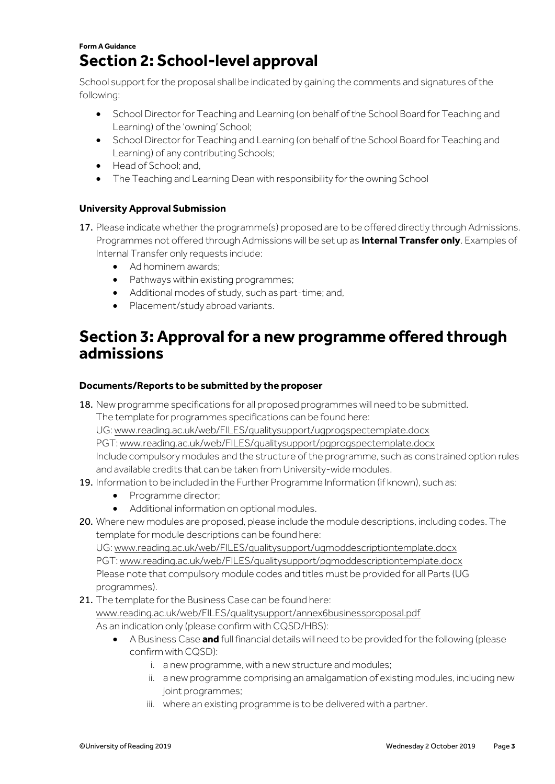## **Form A Guidance Section 2: School-level approval**

School support for the proposal shall be indicated by gaining the comments and signatures of the following:

- **•** School Director for Teaching and Learning (on behalf of the School Board for Teaching and Learning) of the 'owning' School;
- School Director for Teaching and Learning (on behalf of the School Board for Teaching and Learning) of any contributing Schools;
- Head of School; and,
- The Teaching and Learning Dean with responsibility for the owning School

## **University Approval Submission**

- 17. Please indicate whether the programme(s) proposed are to be offered directly through Admissions. Programmes not offered through Admissions will be set up as **Internal Transfer only**. Examples of Internal Transfer only requests include:
	- Ad hominem awards;
	- Pathways within existing programmes;
	- Additional modes of study, such as part-time; and,
	- Placement/study abroad variants.

# **Section 3: Approval for a new programme offered through admissions**

## **Documents/Reports to be submitted by the proposer**

18. New programme specifications for all proposed programmes will need to be submitted. The template for programmes specifications can be found here:

UG[: www.reading.ac.uk/web/FILES/qualitysupport/ugprogspectemplate.docx](http://www.reading.ac.uk/web/FILES/qualitysupport/ugprogspectemplate.docx)

PGT[: www.reading.ac.uk/web/FILES/qualitysupport/pgprogspectemplate.docx](http://www.reading.ac.uk/web/FILES/qualitysupport/pgprogspectemplate.docx)

Include compulsory modules and the structure of the programme, such as constrained option rules and available credits that can be taken from University-wide modules.

- 19. Information to be included in the Further Programme Information (if known), such as:
	- Programme director;
	- Additional information on optional modules.
- 20. Where new modules are proposed, please include the module descriptions, including codes. The template for module descriptions can be found here:

UG[: www.reading.ac.uk/web/FILES/qualitysupport/ugmoddescriptiontemplate.docx](http://www.reading.ac.uk/web/FILES/qualitysupport/ugmoddescriptiontemplate.docx) PGT[: www.reading.ac.uk/web/FILES/qualitysupport/pgmoddescriptiontemplate.docx](http://www.reading.ac.uk/web/FILES/qualitysupport/pgmoddescriptiontemplate.docx) Please note that compulsory module codes and titles must be provided for all Parts (UG programmes).

21. The template for the Business Case can be found here: [www.reading.ac.uk/web/FILES/qualitysupport/annex6businessproposal.pdf](http://www.reading.ac.uk/web/FILES/qualitysupport/annex6businessproposal.pdf) As an indication only (please confirm with CQSD/HBS):

- A Business Case **and** full financial details will need to be provided for the following (please confirm with CQSD):
	- i. a new programme, with a new structure and modules;
	- ii. a new programme comprising an amalgamation of existing modules, including new joint programmes;
	- iii. where an existing programme is to be delivered with a partner.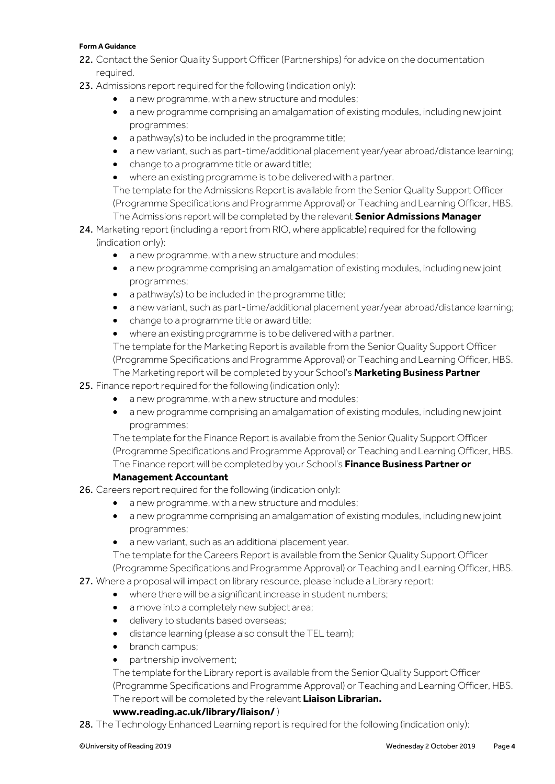#### **Form A Guidance**

- 22. Contact the Senior Quality Support Officer (Partnerships) for advice on the documentation required.
- 23. Admissions report required for the following (indication only):
	- a new programme, with a new structure and modules;
	- a new programme comprising an amalgamation of existing modules, including new joint programmes;
	- a pathway(s) to be included in the programme title;
	- a new variant, such as part-time/additional placement year/year abroad/distance learning;
	- change to a programme title or award title;
	- where an existing programme is to be delivered with a partner.

The template for the Admissions Report is available from the Senior Quality Support Officer (Programme Specifications and Programme Approval) or Teaching and Learning Officer, HBS. The Admissions report will be completed by the relevant **Senior Admissions Manager**

- 24. Marketing report (including a report from RIO, where applicable) required for the following (indication only):
	- a new programme, with a new structure and modules;
	- a new programme comprising an amalgamation of existing modules, including new joint programmes;
	- a pathway(s) to be included in the programme title;
	- a new variant, such as part-time/additional placement year/year abroad/distance learning;
	- change to a programme title or award title;
	- where an existing programme is to be delivered with a partner.

The template for the Marketing Report is available from the Senior Quality Support Officer (Programme Specifications and Programme Approval) or Teaching and Learning Officer, HBS. The Marketing report will be completed by your School's **Marketing Business Partner**

25. Finance report required for the following (indication only):

- a new programme, with a new structure and modules;
- a new programme comprising an amalgamation of existing modules, including new joint programmes;

The template for the Finance Report is available from the Senior Quality Support Officer (Programme Specifications and Programme Approval) or Teaching and Learning Officer, HBS. The Finance report will be completed by your School's **Finance Business Partner or** 

## **Management Accountant**

- 26. Careers report required for the following (indication only):
	- a new programme, with a new structure and modules;
	- a new programme comprising an amalgamation of existing modules, including new joint programmes;
	- a new variant, such as an additional placement year.

The template for the Careers Report is available from the Senior Quality Support Officer (Programme Specifications and Programme Approval) or Teaching and Learning Officer, HBS.

27. Where a proposal will impact on library resource, please include a Library report:

- where there will be a significant increase in student numbers;
- a move into a completely new subject area;
- $\bullet$  delivery to students based overseas;
- distance learning (please also consult the TEL team);
- branch campus;
- partnership involvement;

The template for the Library report is available from the Senior Quality Support Officer (Programme Specifications and Programme Approval) or Teaching and Learning Officer, HBS. The report will be completed by the relevant **Liaison Librarian.**

## **[www.reading.ac.uk/library/liaison/](http://www.reading.ac.uk/library/liaison/)** )

28. The Technology Enhanced Learning report is required for the following (indication only):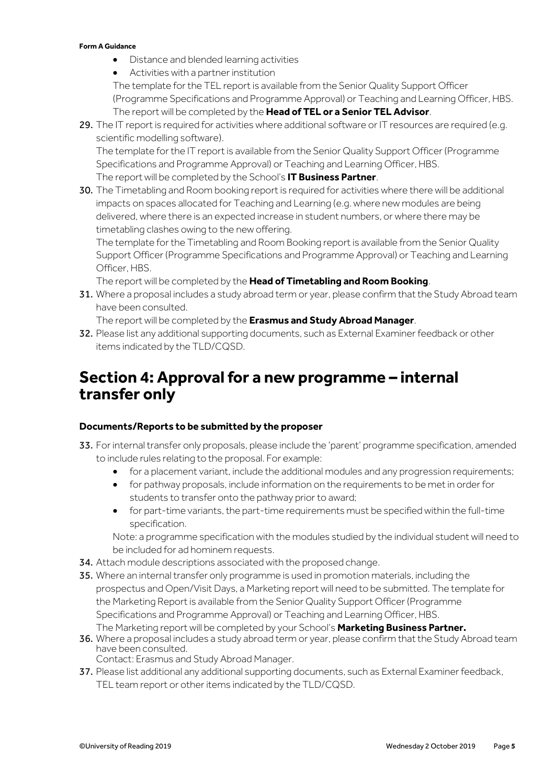#### **Form A Guidance**

- Distance and blended learning activities
- Activities with a partner institution

The template for the TEL report is available from the Senior Quality Support Officer (Programme Specifications and Programme Approval) or Teaching and Learning Officer, HBS. The report will be completed by the **Head of TEL or a Senior TEL Advisor**.

29. The IT report is required for activities where additional software or IT resources are required (e.g. scientific modelling software).

The template for the IT report is available from the Senior Quality Support Officer (Programme Specifications and Programme Approval) or Teaching and Learning Officer, HBS. The report will be completed by the School's **IT Business Partner**.

30. The Timetabling and Room booking report is required for activities where there will be additional impacts on spaces allocated for Teaching and Learning (e.g. where new modules are being delivered, where there is an expected increase in student numbers, or where there may be timetabling clashes owing to the new offering.

The template for the Timetabling and Room Booking report is available from the Senior Quality Support Officer (Programme Specifications and Programme Approval) or Teaching and Learning Officer, HBS.

The report will be completed by the **Head of Timetabling and Room Booking**.

31. Where a proposal includes a study abroad term or year, please confirm that the Study Abroad team have been consulted.

The report will be completed by the **Erasmus and Study Abroad Manager**.

32. Please list any additional supporting documents, such as External Examiner feedback or other items indicated by the TLD/CQSD.

# **Section 4: Approval for a new programme – internal transfer only**

## **Documents/Reports to be submitted by the proposer**

- 33. For internal transfer only proposals, please include the 'parent' programme specification, amended to include rules relating to the proposal. For example:
	- for a placement variant, include the additional modules and any progression requirements;
	- for pathway proposals, include information on the requirements to be met in order for students to transfer onto the pathway prior to award;
	- for part-time variants, the part-time requirements must be specified within the full-time specification.

Note: a programme specification with the modules studied by the individual student will need to be included for ad hominem requests.

- 34. Attach module descriptions associated with the proposed change.
- 35. Where an internal transfer only programme is used in promotion materials, including the prospectus and Open/Visit Days, a Marketing report will need to be submitted. The template for the Marketing Report is available from the Senior Quality Support Officer (Programme Specifications and Programme Approval) or Teaching and Learning Officer, HBS. The Marketing report will be completed by your School's **Marketing Business Partner.**
- 36. Where a proposal includes a study abroad term or year, please confirm that the Study Abroad team have been consulted. Contact: Erasmus and Study Abroad Manager.
- 37. Please list additional any additional supporting documents, such as External Examiner feedback, TEL team report or other items indicated by the TLD/CQSD.